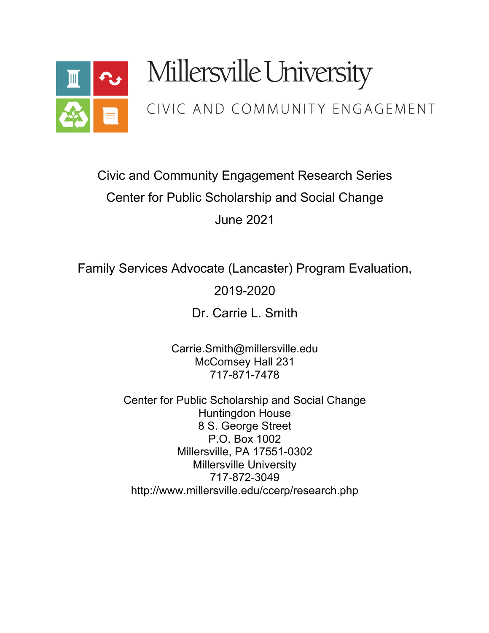

# Millersville University

# CIVIC AND COMMUNITY ENGAGEMENT

# Civic and Community Engagement Research Series Center for Public Scholarship and Social Change June 2021

Family Services Advocate (Lancaster) Program Evaluation,

2019-2020

Dr. Carrie L. Smith

Carrie.Smith@millersville.edu McComsey Hall 231 717-871-7478

Center for Public Scholarship and Social Change Huntingdon House 8 S. George Street P.O. Box 1002 Millersville, PA 17551-0302 Millersville University 717-872-3049 http://www.millersville.edu/ccerp/research.php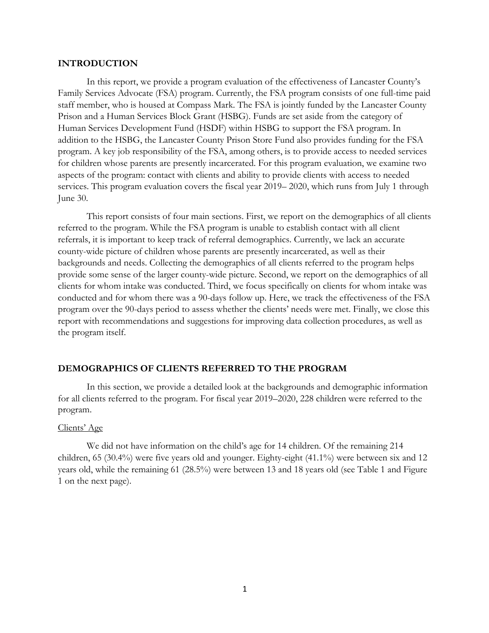#### **INTRODUCTION**

In this report, we provide a program evaluation of the effectiveness of Lancaster County's Family Services Advocate (FSA) program. Currently, the FSA program consists of one full-time paid staff member, who is housed at Compass Mark. The FSA is jointly funded by the Lancaster County Prison and a Human Services Block Grant (HSBG). Funds are set aside from the category of Human Services Development Fund (HSDF) within HSBG to support the FSA program. In addition to the HSBG, the Lancaster County Prison Store Fund also provides funding for the FSA program. A key job responsibility of the FSA, among others, is to provide access to needed services for children whose parents are presently incarcerated. For this program evaluation, we examine two aspects of the program: contact with clients and ability to provide clients with access to needed services. This program evaluation covers the fiscal year 2019– 2020, which runs from July 1 through June 30.

This report consists of four main sections. First, we report on the demographics of all clients referred to the program. While the FSA program is unable to establish contact with all client referrals, it is important to keep track of referral demographics. Currently, we lack an accurate county-wide picture of children whose parents are presently incarcerated, as well as their backgrounds and needs. Collecting the demographics of all clients referred to the program helps provide some sense of the larger county-wide picture. Second, we report on the demographics of all clients for whom intake was conducted. Third, we focus specifically on clients for whom intake was conducted and for whom there was a 90-days follow up. Here, we track the effectiveness of the FSA program over the 90-days period to assess whether the clients' needs were met. Finally, we close this report with recommendations and suggestions for improving data collection procedures, as well as the program itself.

# **DEMOGRAPHICS OF CLIENTS REFERRED TO THE PROGRAM**

In this section, we provide a detailed look at the backgrounds and demographic information for all clients referred to the program. For fiscal year 2019–2020, 228 children were referred to the program.

#### Clients' Age

We did not have information on the child's age for 14 children. Of the remaining 214 children, 65 (30.4%) were five years old and younger. Eighty-eight (41.1%) were between six and 12 years old, while the remaining 61 (28.5%) were between 13 and 18 years old (see Table 1 and Figure 1 on the next page).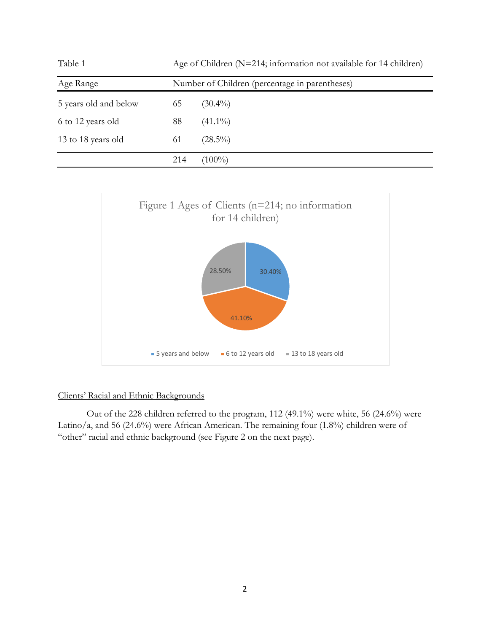| Table 1               |     | Age of Children (N=214; information not available for 14 children) |  |  |
|-----------------------|-----|--------------------------------------------------------------------|--|--|
| Age Range             |     | Number of Children (percentage in parentheses)                     |  |  |
| 5 years old and below | 65  | $(30.4\%)$                                                         |  |  |
| 6 to 12 years old     | 88  | $(41.1\%)$                                                         |  |  |
| 13 to 18 years old    | 61  | $(28.5\%)$                                                         |  |  |
|                       | 214 | $(100\%)$                                                          |  |  |



# Clients' Racial and Ethnic Backgrounds

Out of the 228 children referred to the program, 112 (49.1%) were white, 56 (24.6%) were Latino/a, and 56 (24.6%) were African American. The remaining four (1.8%) children were of "other" racial and ethnic background (see Figure 2 on the next page).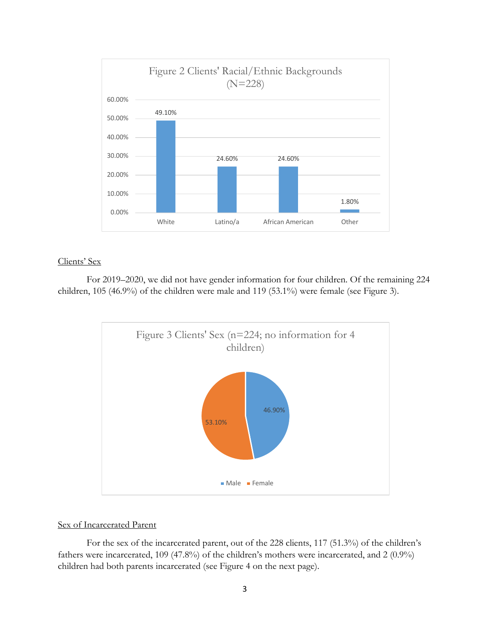

# Clients' Sex

For 2019–2020, we did not have gender information for four children. Of the remaining 224 children, 105 (46.9%) of the children were male and 119 (53.1%) were female (see Figure 3).



# Sex of Incarcerated Parent

For the sex of the incarcerated parent, out of the 228 clients, 117 (51.3%) of the children's fathers were incarcerated, 109 (47.8%) of the children's mothers were incarcerated, and 2 (0.9%) children had both parents incarcerated (see Figure 4 on the next page).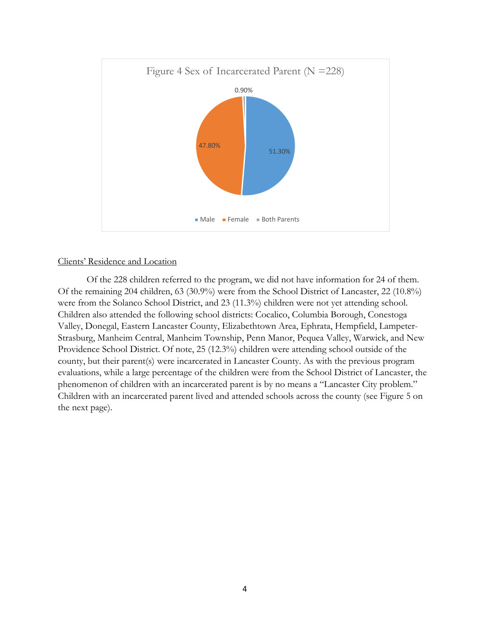

# Clients' Residence and Location

Of the 228 children referred to the program, we did not have information for 24 of them. Of the remaining 204 children, 63 (30.9%) were from the School District of Lancaster, 22 (10.8%) were from the Solanco School District, and 23 (11.3%) children were not yet attending school. Children also attended the following school districts: Cocalico, Columbia Borough, Conestoga Valley, Donegal, Eastern Lancaster County, Elizabethtown Area, Ephrata, Hempfield, Lampeter-Strasburg, Manheim Central, Manheim Township, Penn Manor, Pequea Valley, Warwick, and New Providence School District. Of note, 25 (12.3%) children were attending school outside of the county, but their parent(s) were incarcerated in Lancaster County. As with the previous program evaluations, while a large percentage of the children were from the School District of Lancaster, the phenomenon of children with an incarcerated parent is by no means a "Lancaster City problem." Children with an incarcerated parent lived and attended schools across the county (see Figure 5 on the next page).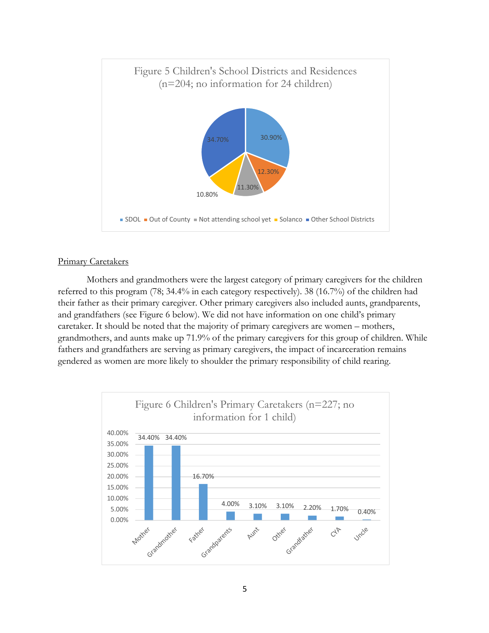

# Primary Caretakers

Mothers and grandmothers were the largest category of primary caregivers for the children referred to this program (78; 34.4% in each category respectively). 38 (16.7%) of the children had their father as their primary caregiver. Other primary caregivers also included aunts, grandparents, and grandfathers (see Figure 6 below). We did not have information on one child's primary caretaker. It should be noted that the majority of primary caregivers are women – mothers, grandmothers, and aunts make up 71.9% of the primary caregivers for this group of children. While fathers and grandfathers are serving as primary caregivers, the impact of incarceration remains gendered as women are more likely to shoulder the primary responsibility of child rearing.

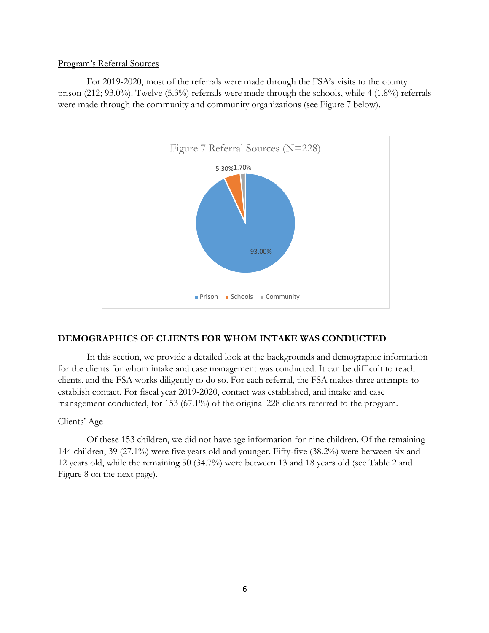# Program's Referral Sources

For 2019-2020, most of the referrals were made through the FSA's visits to the county prison (212; 93.0%). Twelve (5.3%) referrals were made through the schools, while 4 (1.8%) referrals were made through the community and community organizations (see Figure 7 below).



# **DEMOGRAPHICS OF CLIENTS FOR WHOM INTAKE WAS CONDUCTED**

In this section, we provide a detailed look at the backgrounds and demographic information for the clients for whom intake and case management was conducted. It can be difficult to reach clients, and the FSA works diligently to do so. For each referral, the FSA makes three attempts to establish contact. For fiscal year 2019-2020, contact was established, and intake and case management conducted, for 153 (67.1%) of the original 228 clients referred to the program.

# Clients' Age

Of these 153 children, we did not have age information for nine children. Of the remaining 144 children, 39 (27.1%) were five years old and younger. Fifty-five (38.2%) were between six and 12 years old, while the remaining 50 (34.7%) were between 13 and 18 years old (see Table 2 and Figure 8 on the next page).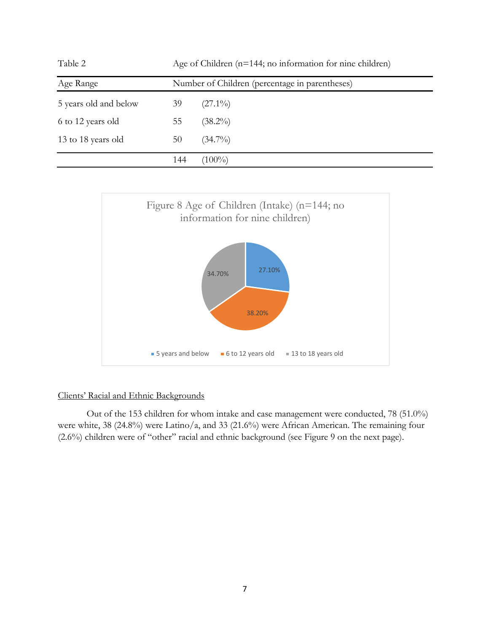| Table 2               |     | Age of Children (n=144; no information for nine children) |  |  |
|-----------------------|-----|-----------------------------------------------------------|--|--|
| Age Range             |     | Number of Children (percentage in parentheses)            |  |  |
| 5 years old and below | 39  | $(27.1\%)$                                                |  |  |
| 6 to 12 years old     | 55  | $(38.2\%)$                                                |  |  |
| 13 to 18 years old    | 50  | $(34.7\%)$                                                |  |  |
|                       | 144 | $(100\%)$                                                 |  |  |



# Clients' Racial and Ethnic Backgrounds

Out of the 153 children for whom intake and case management were conducted, 78 (51.0%) were white, 38 (24.8%) were Latino/a, and 33 (21.6%) were African American. The remaining four (2.6%) children were of "other" racial and ethnic background (see Figure 9 on the next page).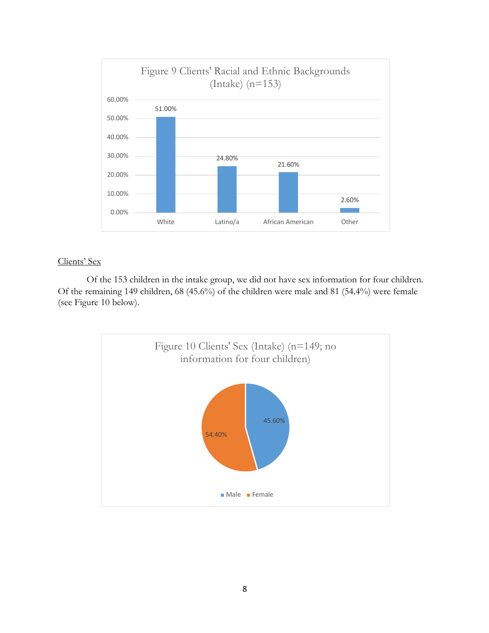

# Clients' Sex

Of the 153 children in the intake group, we did not have sex information for four children. Of the remaining 149 children, 68 (45.6%) of the children were male and 81 (54.4%) were female (see Figure 10 below).

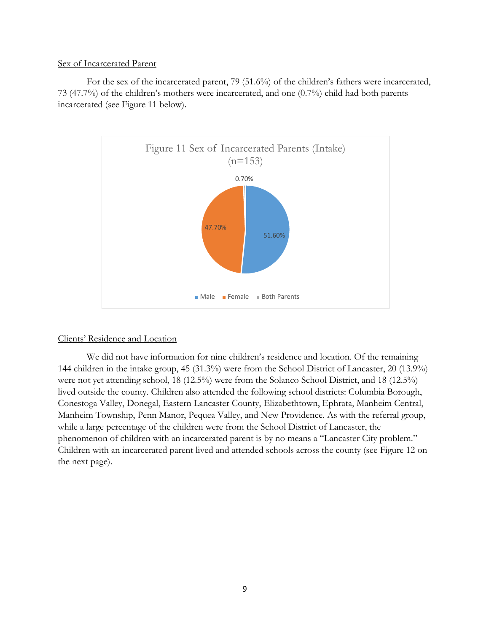# Sex of Incarcerated Parent

For the sex of the incarcerated parent, 79 (51.6%) of the children's fathers were incarcerated, 73 (47.7%) of the children's mothers were incarcerated, and one (0.7%) child had both parents incarcerated (see Figure 11 below).



# Clients' Residence and Location

We did not have information for nine children's residence and location. Of the remaining 144 children in the intake group, 45 (31.3%) were from the School District of Lancaster, 20 (13.9%) were not yet attending school, 18 (12.5%) were from the Solanco School District, and 18 (12.5%) lived outside the county. Children also attended the following school districts: Columbia Borough, Conestoga Valley, Donegal, Eastern Lancaster County, Elizabethtown, Ephrata, Manheim Central, Manheim Township, Penn Manor, Pequea Valley, and New Providence. As with the referral group, while a large percentage of the children were from the School District of Lancaster, the phenomenon of children with an incarcerated parent is by no means a "Lancaster City problem." Children with an incarcerated parent lived and attended schools across the county (see Figure 12 on the next page).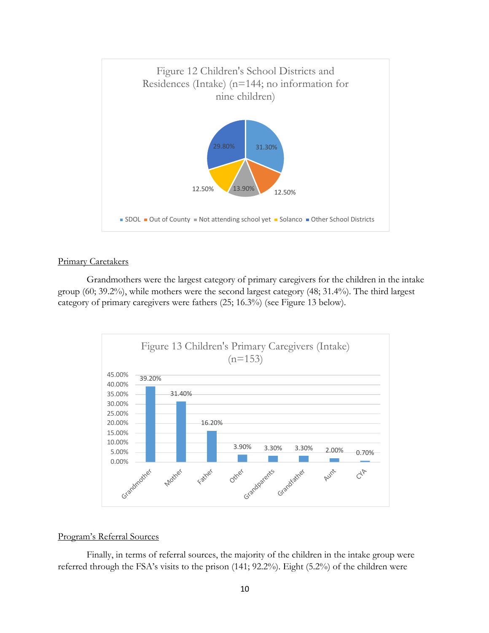

# Primary Caretakers

Grandmothers were the largest category of primary caregivers for the children in the intake group (60; 39.2%), while mothers were the second largest category (48; 31.4%). The third largest category of primary caregivers were fathers (25; 16.3%) (see Figure 13 below).



## Program's Referral Sources

Finally, in terms of referral sources, the majority of the children in the intake group were referred through the FSA's visits to the prison (141; 92.2%). Eight (5.2%) of the children were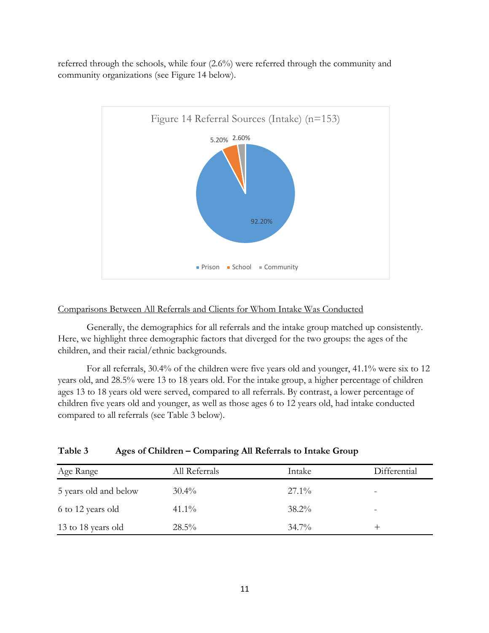referred through the schools, while four (2.6%) were referred through the community and community organizations (see Figure 14 below).



# Comparisons Between All Referrals and Clients for Whom Intake Was Conducted

Generally, the demographics for all referrals and the intake group matched up consistently. Here, we highlight three demographic factors that diverged for the two groups: the ages of the children, and their racial/ethnic backgrounds.

For all referrals, 30.4% of the children were five years old and younger, 41.1% were six to 12 years old, and 28.5% were 13 to 18 years old. For the intake group, a higher percentage of children ages 13 to 18 years old were served, compared to all referrals. By contrast, a lower percentage of children five years old and younger, as well as those ages 6 to 12 years old, had intake conducted compared to all referrals (see Table 3 below).

| Age Range             | All Referrals | Intake   | Differential |
|-----------------------|---------------|----------|--------------|
| 5 years old and below | $30.4\%$      | $27.1\%$ |              |
| 6 to 12 years old     | $41.1\%$      | $38.2\%$ | -            |
| 13 to 18 years old    | $28.5\%$      | $34.7\%$ |              |

| Table 3 | Ages of Children - Comparing All Referrals to Intake Group |  |  |
|---------|------------------------------------------------------------|--|--|
|         |                                                            |  |  |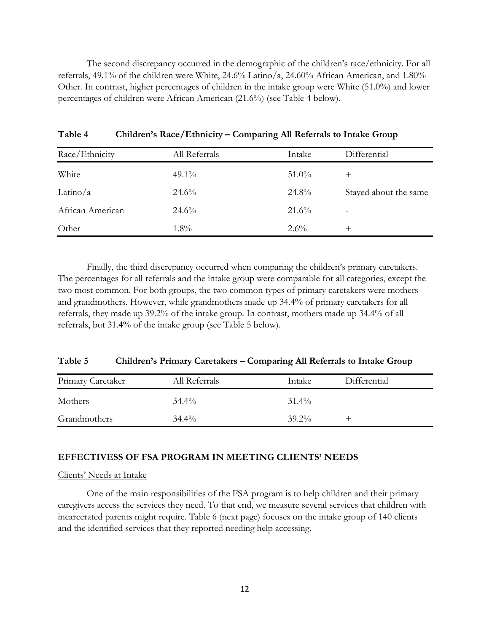The second discrepancy occurred in the demographic of the children's race/ethnicity. For all referrals, 49.1% of the children were White, 24.6% Latino/a, 24.60% African American, and 1.80% Other. In contrast, higher percentages of children in the intake group were White (51.0%) and lower percentages of children were African American (21.6%) (see Table 4 below).

| Race/Ethnicity   | All Referrals | Intake   | Differential          |
|------------------|---------------|----------|-----------------------|
| White            | $49.1\%$      | $51.0\%$ | $^{\mathrm{+}}$       |
| Latino/ $a$      | $24.6\%$      | 24.8%    | Stayed about the same |
| African American | $24.6\%$      | 21.6%    |                       |
| Other            | $1.8\%$       | $2.6\%$  | $^{\mathrm{+}}$       |

**Table 4 Children's Race/Ethnicity – Comparing All Referrals to Intake Group**

Finally, the third discrepancy occurred when comparing the children's primary caretakers. The percentages for all referrals and the intake group were comparable for all categories, except the two most common. For both groups, the two common types of primary caretakers were mothers and grandmothers. However, while grandmothers made up 34.4% of primary caretakers for all referrals, they made up 39.2% of the intake group. In contrast, mothers made up 34.4% of all referrals, but 31.4% of the intake group (see Table 5 below).

| Table 5 | Children's Primary Caretakers - Comparing All Referrals to Intake Group |  |  |  |  |
|---------|-------------------------------------------------------------------------|--|--|--|--|
|---------|-------------------------------------------------------------------------|--|--|--|--|

| Primary Caretaker | All Referrals | Intake   | Differential             |
|-------------------|---------------|----------|--------------------------|
| Mothers           | $34.4\%$      | $31.4\%$ | $\overline{\phantom{0}}$ |
| Grandmothers      | $34.4\%$      | $39.2\%$ |                          |

# **EFFECTIVESS OF FSA PROGRAM IN MEETING CLIENTS' NEEDS**

# Clients' Needs at Intake

One of the main responsibilities of the FSA program is to help children and their primary caregivers access the services they need. To that end, we measure several services that children with incarcerated parents might require. Table 6 (next page) focuses on the intake group of 140 clients and the identified services that they reported needing help accessing.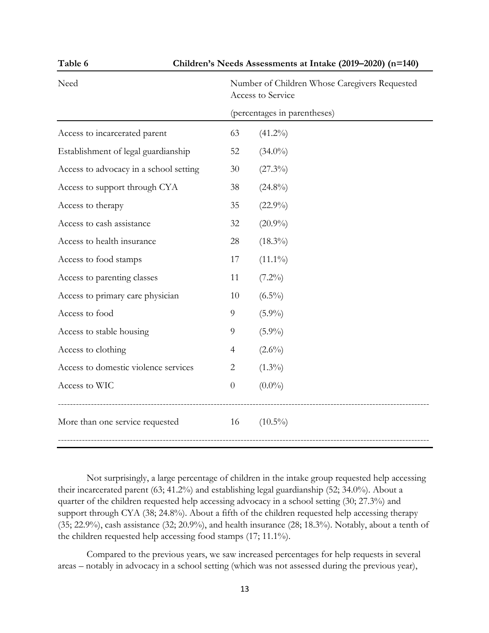| Children's Needs Assessments at Intake (2019-2020) (n=140)<br>Table 6 |                                                                                                    |            |  |  |  |  |
|-----------------------------------------------------------------------|----------------------------------------------------------------------------------------------------|------------|--|--|--|--|
| Need                                                                  | Number of Children Whose Caregivers Requested<br>Access to Service<br>(percentages in parentheses) |            |  |  |  |  |
|                                                                       |                                                                                                    |            |  |  |  |  |
| Access to incarcerated parent                                         | 63                                                                                                 | $(41.2\%)$ |  |  |  |  |
| Establishment of legal guardianship                                   | 52                                                                                                 | $(34.0\%)$ |  |  |  |  |
| Access to advocacy in a school setting                                | 30                                                                                                 | $(27.3\%)$ |  |  |  |  |
| Access to support through CYA                                         | 38                                                                                                 | $(24.8\%)$ |  |  |  |  |
| Access to therapy                                                     | 35                                                                                                 | $(22.9\%)$ |  |  |  |  |
| Access to cash assistance                                             | 32                                                                                                 | $(20.9\%)$ |  |  |  |  |
| Access to health insurance                                            | 28                                                                                                 | $(18.3\%)$ |  |  |  |  |
| Access to food stamps                                                 | 17                                                                                                 | $(11.1\%)$ |  |  |  |  |
| Access to parenting classes                                           | 11                                                                                                 | $(7.2\%)$  |  |  |  |  |
| Access to primary care physician                                      | 10                                                                                                 | $(6.5\%)$  |  |  |  |  |
| Access to food                                                        | 9                                                                                                  | $(5.9\%)$  |  |  |  |  |
| Access to stable housing                                              | 9                                                                                                  | $(5.9\%)$  |  |  |  |  |
| Access to clothing                                                    | $\overline{4}$                                                                                     | $(2.6\%)$  |  |  |  |  |
| Access to domestic violence services                                  | $\overline{2}$                                                                                     | $(1.3\%)$  |  |  |  |  |
| Access to WIC                                                         | $\overline{0}$                                                                                     | $(0.0\%)$  |  |  |  |  |
| More than one service requested                                       | 16                                                                                                 | $(10.5\%)$ |  |  |  |  |
|                                                                       |                                                                                                    |            |  |  |  |  |

Not surprisingly, a large percentage of children in the intake group requested help accessing their incarcerated parent (63; 41.2%) and establishing legal guardianship (52; 34.0%). About a quarter of the children requested help accessing advocacy in a school setting (30; 27.3%) and support through CYA (38; 24.8%). About a fifth of the children requested help accessing therapy (35; 22.9%), cash assistance (32; 20.9%), and health insurance (28; 18.3%). Notably, about a tenth of the children requested help accessing food stamps (17; 11.1%).

Compared to the previous years, we saw increased percentages for help requests in several areas – notably in advocacy in a school setting (which was not assessed during the previous year),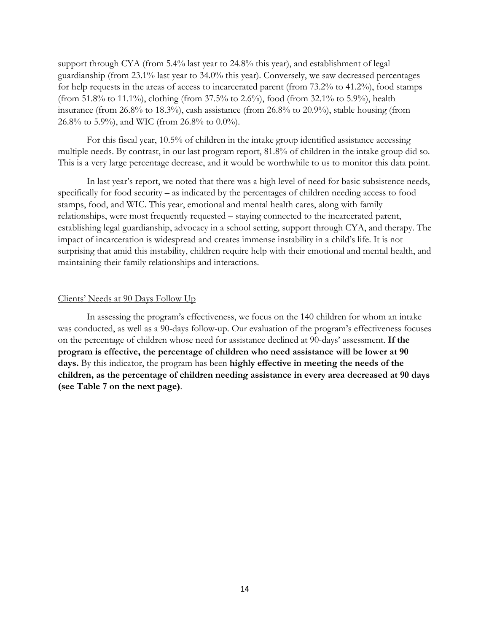support through CYA (from 5.4% last year to 24.8% this year), and establishment of legal guardianship (from 23.1% last year to 34.0% this year). Conversely, we saw decreased percentages for help requests in the areas of access to incarcerated parent (from 73.2% to 41.2%), food stamps (from 51.8% to 11.1%), clothing (from 37.5% to 2.6%), food (from 32.1% to 5.9%), health insurance (from 26.8% to 18.3%), cash assistance (from 26.8% to 20.9%), stable housing (from 26.8% to 5.9%), and WIC (from 26.8% to 0.0%).

For this fiscal year, 10.5% of children in the intake group identified assistance accessing multiple needs. By contrast, in our last program report, 81.8% of children in the intake group did so. This is a very large percentage decrease, and it would be worthwhile to us to monitor this data point.

In last year's report, we noted that there was a high level of need for basic subsistence needs, specifically for food security – as indicated by the percentages of children needing access to food stamps, food, and WIC. This year, emotional and mental health cares, along with family relationships, were most frequently requested – staying connected to the incarcerated parent, establishing legal guardianship, advocacy in a school setting, support through CYA, and therapy. The impact of incarceration is widespread and creates immense instability in a child's life. It is not surprising that amid this instability, children require help with their emotional and mental health, and maintaining their family relationships and interactions.

# Clients' Needs at 90 Days Follow Up

In assessing the program's effectiveness, we focus on the 140 children for whom an intake was conducted, as well as a 90-days follow-up. Our evaluation of the program's effectiveness focuses on the percentage of children whose need for assistance declined at 90-days' assessment. **If the program is effective, the percentage of children who need assistance will be lower at 90 days.** By this indicator, the program has been **highly effective in meeting the needs of the children, as the percentage of children needing assistance in every area decreased at 90 days (see Table 7 on the next page)**.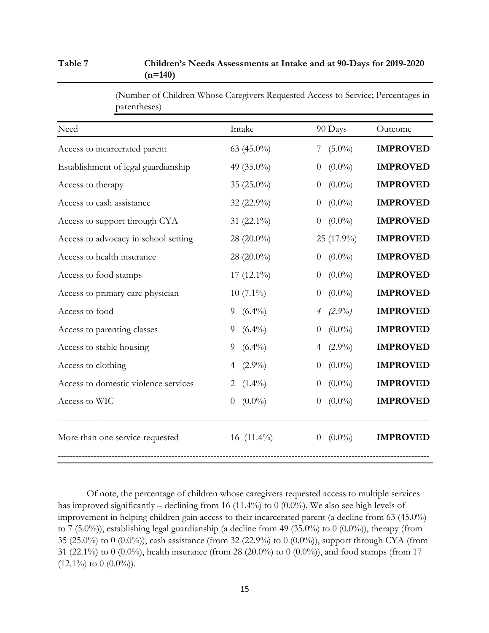# **Table 7 Children's Needs Assessments at Intake and at 90-Days for 2019-2020 (n=140)**

| Need                                 | Intake                      | 90 Days                       | Outcome         |
|--------------------------------------|-----------------------------|-------------------------------|-----------------|
| Access to incarcerated parent        | 63 (45.0%)                  | 7 $(5.0\%)$                   | <b>IMPROVED</b> |
| Establishment of legal guardianship  | 49 (35.0%)                  | $(0.0\%)$<br>$\theta$         | <b>IMPROVED</b> |
| Access to therapy                    | 35 $(25.0\%)$               | $(0.0\%)$<br>$\boldsymbol{0}$ | <b>IMPROVED</b> |
| Access to cash assistance            | 32 (22.9%)                  | $(0.0\%)$<br>$\theta$         | <b>IMPROVED</b> |
| Access to support through CYA        | 31 (22.1%)                  | $(0.0\%)$<br>$\overline{0}$   | <b>IMPROVED</b> |
| Access to advocacy in school setting | 28 $(20.0\%)$               | 25 (17.9%)                    | <b>IMPROVED</b> |
| Access to health insurance           | 28 (20.0%)                  | $(0.0\%)$<br>$\theta$         | <b>IMPROVED</b> |
| Access to food stamps                | 17 $(12.1\%)$               | $(0.0\%)$<br>$\overline{0}$   | <b>IMPROVED</b> |
| Access to primary care physician     | $10(7.1\%)$                 | $(0.0\%)$<br>$\overline{0}$   | <b>IMPROVED</b> |
| Access to food                       | $(6.4\%)$<br>9              | $(2.9\%)$<br>4                | <b>IMPROVED</b> |
| Access to parenting classes          | $(6.4\%)$<br>9              | $(0.0\%)$                     | <b>IMPROVED</b> |
| Access to stable housing             | $(6.4\%)$<br>9              | $(2.9\%)$<br>4                | <b>IMPROVED</b> |
| Access to clothing                   | $(2.9\%)$                   | $(0.0\%)$<br>$\overline{0}$   | <b>IMPROVED</b> |
| Access to domestic violence services | $(1.4\%)$<br>2              | $(0.0\%)$<br>$\theta$         | <b>IMPROVED</b> |
| Access to WIC                        | $(0.0\%)$<br>$\overline{0}$ | $(0.0\%)$<br>$\theta$         | <b>IMPROVED</b> |
| More than one service requested      | 16 $(11.4\%)$               | $0 \quad (0.0\%)$             | <b>IMPROVED</b> |

(Number of Children Whose Caregivers Requested Access to Service; Percentages in parentheses)

Of note, the percentage of children whose caregivers requested access to multiple services has improved significantly – declining from 16 (11.4%) to 0 (0.0%). We also see high levels of improvement in helping children gain access to their incarcerated parent (a decline from 63 (45.0%) to 7 (5.0%)), establishing legal guardianship (a decline from 49 (35.0%) to 0 (0.0%)), therapy (from 35 (25.0%) to 0 (0.0%)), cash assistance (from 32 (22.9%) to 0 (0.0%)), support through CYA (from 31 (22.1%) to 0 (0.0%), health insurance (from 28 (20.0%) to 0 (0.0%)), and food stamps (from 17  $(12.1\%)$  to  $(0.0\%)$ .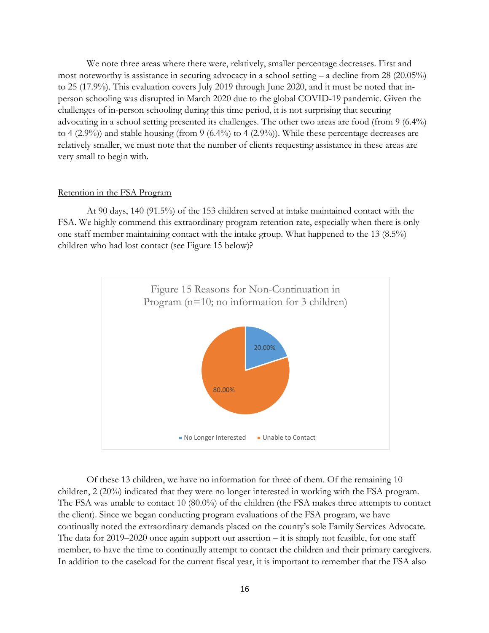We note three areas where there were, relatively, smaller percentage decreases. First and most noteworthy is assistance in securing advocacy in a school setting – a decline from 28 (20.05%) to 25 (17.9%). This evaluation covers July 2019 through June 2020, and it must be noted that inperson schooling was disrupted in March 2020 due to the global COVID-19 pandemic. Given the challenges of in-person schooling during this time period, it is not surprising that securing advocating in a school setting presented its challenges. The other two areas are food (from 9 (6.4%) to 4 (2.9%)) and stable housing (from 9 (6.4%) to 4 (2.9%)). While these percentage decreases are relatively smaller, we must note that the number of clients requesting assistance in these areas are very small to begin with.

#### Retention in the FSA Program

At 90 days, 140 (91.5%) of the 153 children served at intake maintained contact with the FSA. We highly commend this extraordinary program retention rate, especially when there is only one staff member maintaining contact with the intake group. What happened to the 13 (8.5%) children who had lost contact (see Figure 15 below)?



Of these 13 children, we have no information for three of them. Of the remaining 10 children, 2 (20%) indicated that they were no longer interested in working with the FSA program. The FSA was unable to contact 10 (80.0%) of the children (the FSA makes three attempts to contact the client). Since we began conducting program evaluations of the FSA program, we have continually noted the extraordinary demands placed on the county's sole Family Services Advocate. The data for 2019–2020 once again support our assertion – it is simply not feasible, for one staff member, to have the time to continually attempt to contact the children and their primary caregivers. In addition to the caseload for the current fiscal year, it is important to remember that the FSA also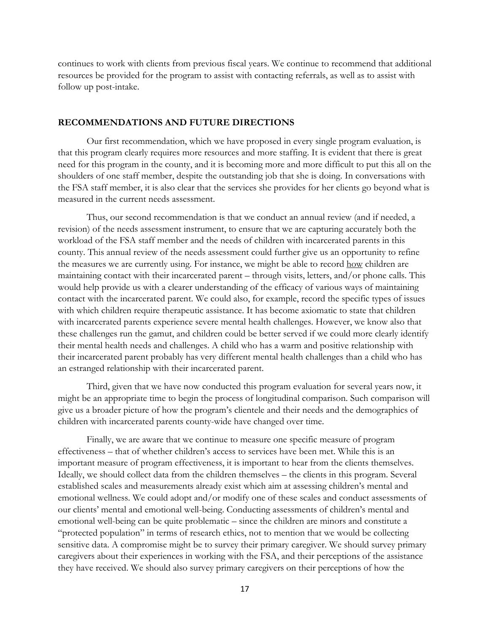continues to work with clients from previous fiscal years. We continue to recommend that additional resources be provided for the program to assist with contacting referrals, as well as to assist with follow up post-intake.

#### **RECOMMENDATIONS AND FUTURE DIRECTIONS**

Our first recommendation, which we have proposed in every single program evaluation, is that this program clearly requires more resources and more staffing. It is evident that there is great need for this program in the county, and it is becoming more and more difficult to put this all on the shoulders of one staff member, despite the outstanding job that she is doing. In conversations with the FSA staff member, it is also clear that the services she provides for her clients go beyond what is measured in the current needs assessment.

Thus, our second recommendation is that we conduct an annual review (and if needed, a revision) of the needs assessment instrument, to ensure that we are capturing accurately both the workload of the FSA staff member and the needs of children with incarcerated parents in this county. This annual review of the needs assessment could further give us an opportunity to refine the measures we are currently using. For instance, we might be able to record how children are maintaining contact with their incarcerated parent – through visits, letters, and/or phone calls. This would help provide us with a clearer understanding of the efficacy of various ways of maintaining contact with the incarcerated parent. We could also, for example, record the specific types of issues with which children require therapeutic assistance. It has become axiomatic to state that children with incarcerated parents experience severe mental health challenges. However, we know also that these challenges run the gamut, and children could be better served if we could more clearly identify their mental health needs and challenges. A child who has a warm and positive relationship with their incarcerated parent probably has very different mental health challenges than a child who has an estranged relationship with their incarcerated parent.

Third, given that we have now conducted this program evaluation for several years now, it might be an appropriate time to begin the process of longitudinal comparison. Such comparison will give us a broader picture of how the program's clientele and their needs and the demographics of children with incarcerated parents county-wide have changed over time.

Finally, we are aware that we continue to measure one specific measure of program effectiveness – that of whether children's access to services have been met. While this is an important measure of program effectiveness, it is important to hear from the clients themselves. Ideally, we should collect data from the children themselves – the clients in this program. Several established scales and measurements already exist which aim at assessing children's mental and emotional wellness. We could adopt and/or modify one of these scales and conduct assessments of our clients' mental and emotional well-being. Conducting assessments of children's mental and emotional well-being can be quite problematic – since the children are minors and constitute a "protected population" in terms of research ethics, not to mention that we would be collecting sensitive data. A compromise might be to survey their primary caregiver. We should survey primary caregivers about their experiences in working with the FSA, and their perceptions of the assistance they have received. We should also survey primary caregivers on their perceptions of how the